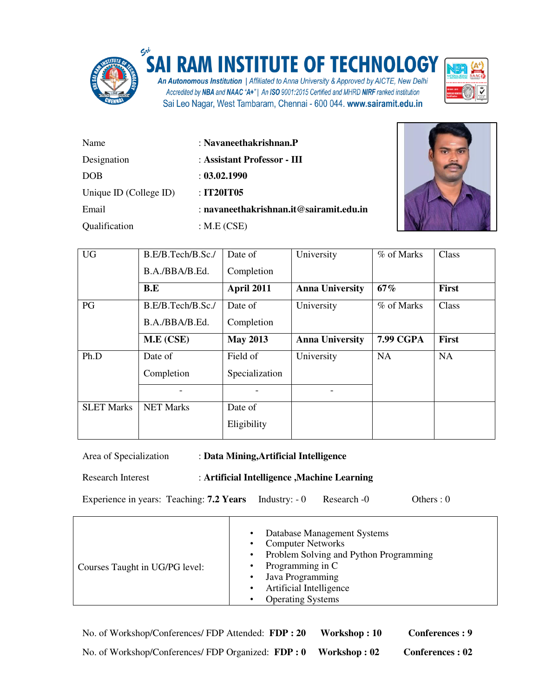

 $\Gamma$ 

## **INSTITUTE OF TECHNOLOGY**

An Autonomous Institution | Affiliated to Anna University & Approved by AICTE, New Delhi Accredited by NBA and NAAC "A+" | An ISO 9001:2015 Certified and MHRD NIRF ranked institution Sai Leo Nagar, West Tambaram, Chennai - 600 044. www.sairamit.edu.in



| Name                   | $:$ Navaneethakrishnan. $P$             |
|------------------------|-----------------------------------------|
| Designation            | : Assistant Professor - III             |
| <b>DOB</b>             | : 03.02.1990                            |
| Unique ID (College ID) | : IT20IT05                              |
| Email                  | : navaneethakrishnan.it@sairamit.edu.in |
| Qualification          | : $M.E(CSE)$                            |



| <b>UG</b>         | B.E/B.Tech/B.Sc./ | Date of         | University             | % of Marks       | Class        |
|-------------------|-------------------|-----------------|------------------------|------------------|--------------|
|                   | B.A./BBA/B.Ed.    | Completion      |                        |                  |              |
|                   | B.E               | April 2011      | <b>Anna University</b> | 67%              | <b>First</b> |
| PG                | B.E/B.Tech/B.Sc./ | Date of         | University             | % of Marks       | Class        |
|                   | B.A./BBA/B.Ed.    | Completion      |                        |                  |              |
|                   | M.E (CSE)         | <b>May 2013</b> | <b>Anna University</b> | <b>7.99 CGPA</b> | <b>First</b> |
| Ph.D              | Date of           | Field of        | University             | <b>NA</b>        | <b>NA</b>    |
|                   | Completion        | Specialization  |                        |                  |              |
|                   |                   |                 |                        |                  |              |
| <b>SLET Marks</b> | <b>NET Marks</b>  | Date of         |                        |                  |              |
|                   |                   | Eligibility     |                        |                  |              |

Area of Specialization : **Data Mining,Artificial Intelligence** 

Research Interest : **Artificial Intelligence ,Machine Learning**

Τ

Experience in years: Teaching: **7.2 Years** Industry:  $-0$  Research  $-0$  Others : 0

| Courses Taught in UG/PG level: | Database Management Systems<br>$\bullet$<br><b>Computer Networks</b><br>$\bullet$<br>• Problem Solving and Python Programming<br>Programming in C<br>$\bullet$<br>Java Programming<br>$\bullet$<br>Artificial Intelligence<br>$\bullet$<br><b>Operating Systems</b> |
|--------------------------------|---------------------------------------------------------------------------------------------------------------------------------------------------------------------------------------------------------------------------------------------------------------------|
|--------------------------------|---------------------------------------------------------------------------------------------------------------------------------------------------------------------------------------------------------------------------------------------------------------------|

No. of Workshop/Conferences/ FDP Attended: FDP: 20 Workshop: 10 Conferences: 9 No. of Workshop/Conferences/ FDP Organized: FDP: 0 Workshop: 02 Conferences: 02